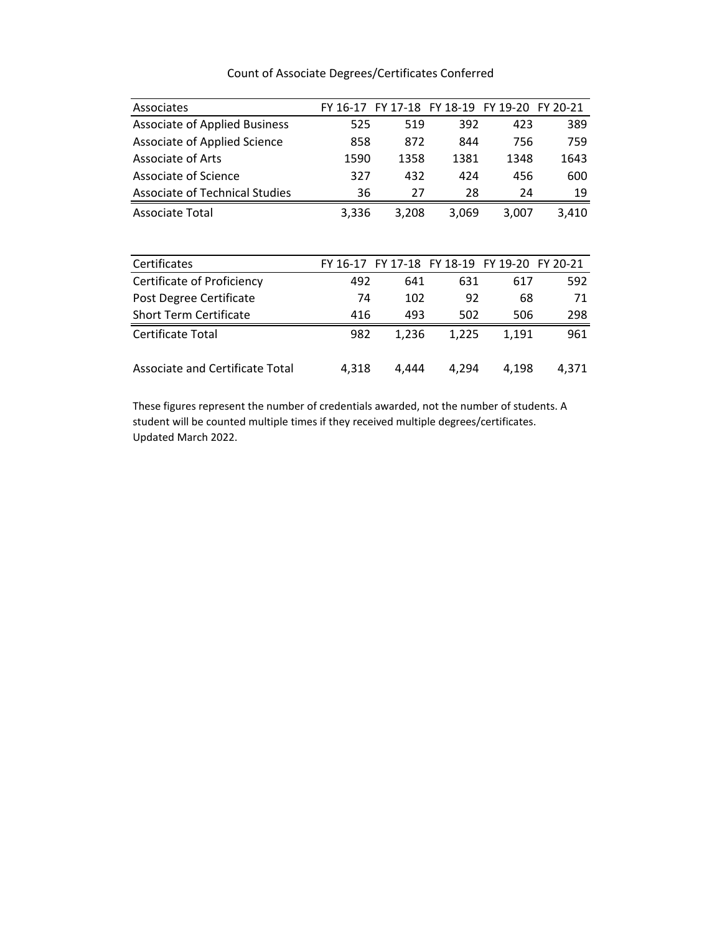| Associates                           | FY 16-17 |       | FY 17-18 FY 18-19 FY 19-20 FY 20-21          |       |       |
|--------------------------------------|----------|-------|----------------------------------------------|-------|-------|
| <b>Associate of Applied Business</b> | 525      | 519   | 392                                          | 423   | 389   |
| <b>Associate of Applied Science</b>  | 858      | 872   | 844                                          | 756   | 759   |
| Associate of Arts                    | 1590     | 1358  | 1381                                         | 1348  | 1643  |
| Associate of Science                 | 327      | 432   | 424                                          | 456   | 600   |
| Associate of Technical Studies       | 36       | 27    | 28                                           | 24    | 19    |
| <b>Associate Total</b>               | 3,336    | 3,208 | 3,069                                        | 3,007 | 3,410 |
|                                      |          |       |                                              |       |       |
|                                      |          |       |                                              |       |       |
| Certificates                         |          |       | FY 16-17 FY 17-18 FY 18-19 FY 19-20 FY 20-21 |       |       |
| Certificate of Proficiency           | 492      | 641   | 631                                          | 617   | 592   |
| Post Degree Certificate              | 74       | 102   | 92                                           | 68    | 71    |
| <b>Short Term Certificate</b>        | 416      | 493   | 502                                          | 506   | 298   |
| Certificate Total                    | 982      | 1,236 | 1,225                                        | 1,191 | 961   |

## Count of Associate Degrees/Certificates Conferred

These figures represent the number of credentials awarded, not the number of students. A student will be counted multiple times if they received multiple degrees/certificates. Updated March 2022.